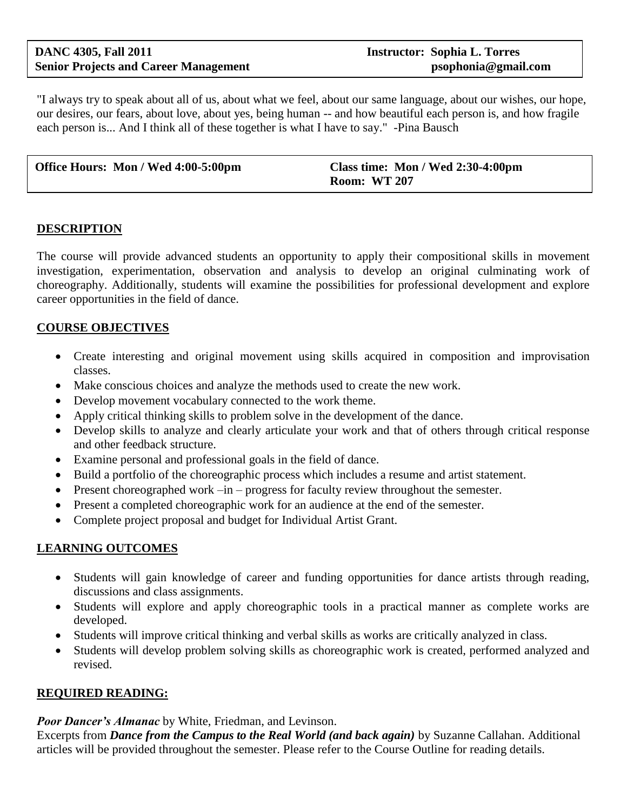"I always try to speak about all of us, about what we feel, about our same language, about our wishes, our hope, our desires, our fears, about love, about yes, being human -- and how beautiful each person is, and how fragile each person is... And I think all of these together is what I have to say." -Pina Bausch

| Office Hours: Mon / Wed 4:00-5:00pm | Class time: Mon / Wed 2:30-4:00pm |
|-------------------------------------|-----------------------------------|
|                                     | <b>Room: WT 207</b>               |

#### **DESCRIPTION**

The course will provide advanced students an opportunity to apply their compositional skills in movement investigation, experimentation, observation and analysis to develop an original culminating work of choreography. Additionally, students will examine the possibilities for professional development and explore career opportunities in the field of dance.

#### **COURSE OBJECTIVES**

- Create interesting and original movement using skills acquired in composition and improvisation classes.
- Make conscious choices and analyze the methods used to create the new work.
- Develop movement vocabulary connected to the work theme.
- Apply critical thinking skills to problem solve in the development of the dance.
- Develop skills to analyze and clearly articulate your work and that of others through critical response and other feedback structure.
- Examine personal and professional goals in the field of dance.
- Build a portfolio of the choreographic process which includes a resume and artist statement.
- Present choreographed work –in progress for faculty review throughout the semester.
- Present a completed choreographic work for an audience at the end of the semester.
- Complete project proposal and budget for Individual Artist Grant.

# **LEARNING OUTCOMES**

- Students will gain knowledge of career and funding opportunities for dance artists through reading, discussions and class assignments.
- Students will explore and apply choreographic tools in a practical manner as complete works are developed.
- Students will improve critical thinking and verbal skills as works are critically analyzed in class.
- Students will develop problem solving skills as choreographic work is created, performed analyzed and revised.

#### **REQUIRED READING:**

#### *Poor Dancer's Almanac* by White, Friedman, and Levinson.

Excerpts from *Dance from the Campus to the Real World (and back again)* by Suzanne Callahan. Additional articles will be provided throughout the semester. Please refer to the Course Outline for reading details.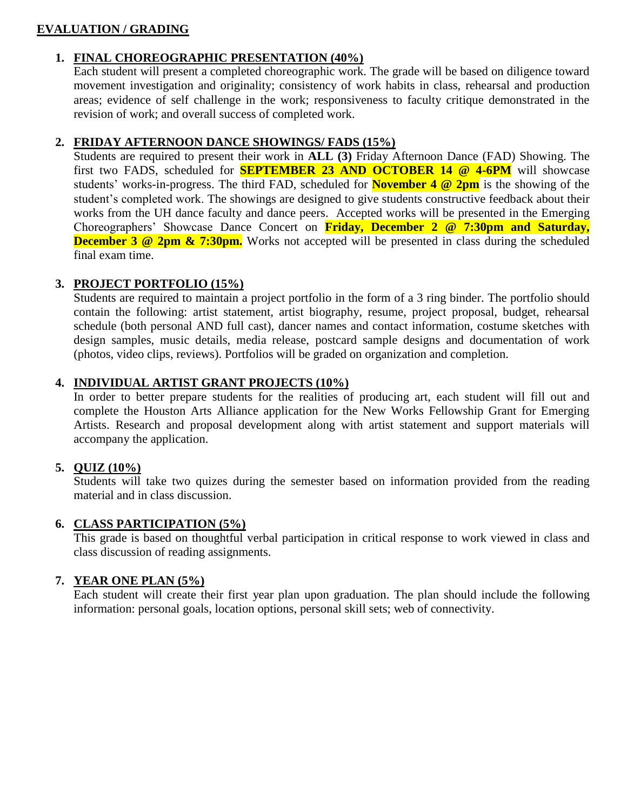# **EVALUATION / GRADING**

# **1. FINAL CHOREOGRAPHIC PRESENTATION (40%)**

Each student will present a completed choreographic work. The grade will be based on diligence toward movement investigation and originality; consistency of work habits in class, rehearsal and production areas; evidence of self challenge in the work; responsiveness to faculty critique demonstrated in the revision of work; and overall success of completed work.

#### **2. FRIDAY AFTERNOON DANCE SHOWINGS/ FADS (15%)**

Students are required to present their work in **ALL (3)** Friday Afternoon Dance (FAD) Showing. The first two FADS, scheduled for **SEPTEMBER 23 AND OCTOBER 14 @ 4-6PM** will showcase students' works-in-progress. The third FAD, scheduled for **November 4 @ 2pm** is the showing of the student's completed work. The showings are designed to give students constructive feedback about their works from the UH dance faculty and dance peers. Accepted works will be presented in the Emerging Choreographers' Showcase Dance Concert on **Friday, December 2 @ 7:30pm and Saturday, December 3 @ 2pm & 7:30pm.** Works not accepted will be presented in class during the scheduled final exam time.

# **3. PROJECT PORTFOLIO (15%)**

Students are required to maintain a project portfolio in the form of a 3 ring binder. The portfolio should contain the following: artist statement, artist biography, resume, project proposal, budget, rehearsal schedule (both personal AND full cast), dancer names and contact information, costume sketches with design samples, music details, media release, postcard sample designs and documentation of work (photos, video clips, reviews). Portfolios will be graded on organization and completion.

# **4. INDIVIDUAL ARTIST GRANT PROJECTS (10%)**

In order to better prepare students for the realities of producing art, each student will fill out and complete the Houston Arts Alliance application for the New Works Fellowship Grant for Emerging Artists. Research and proposal development along with artist statement and support materials will accompany the application.

# **5. QUIZ (10%)**

Students will take two quizes during the semester based on information provided from the reading material and in class discussion.

# **6. CLASS PARTICIPATION (5%)**

This grade is based on thoughtful verbal participation in critical response to work viewed in class and class discussion of reading assignments.

# **7. YEAR ONE PLAN (5%)**

Each student will create their first year plan upon graduation. The plan should include the following information: personal goals, location options, personal skill sets; web of connectivity.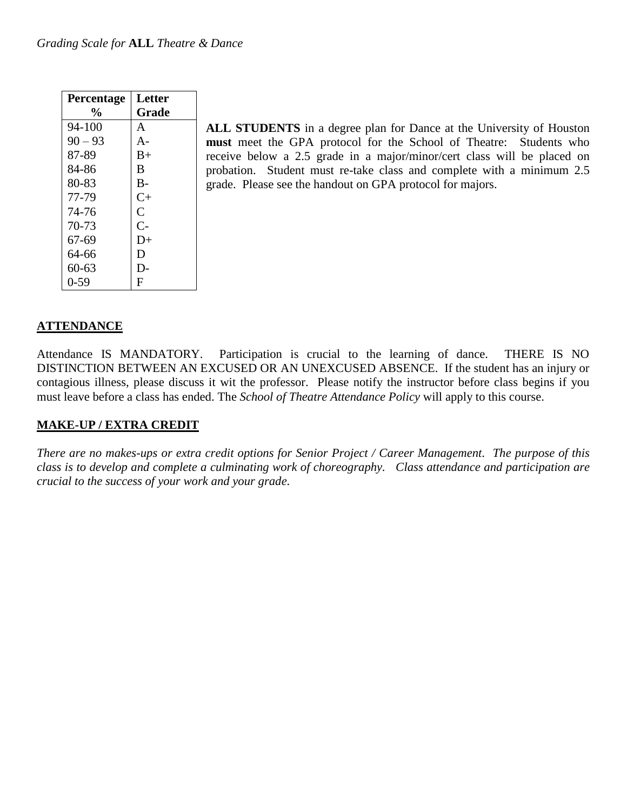| Percentage    | Letter           |
|---------------|------------------|
| $\frac{0}{0}$ | Grade            |
| 94-100        | A                |
| $90 - 93$     | $A -$            |
| 87-89         | $B+$             |
| 84-86         | B                |
| 80-83         | $B-$             |
| 77-79         | $C_{\pm}$        |
| 74-76         | $\overline{C}$   |
| 70-73         | $\overline{C}$ - |
| 67-69         | $D+$             |
| 64-66         | D                |
| 60-63         | D-               |
| $0 - 59$      | F                |

**ALL STUDENTS** in a degree plan for Dance at the University of Houston **must** meet the GPA protocol for the School of Theatre: Students who receive below a 2.5 grade in a major/minor/cert class will be placed on probation. Student must re-take class and complete with a minimum 2.5 grade. Please see the handout on GPA protocol for majors.

# **ATTENDANCE**

Attendance IS MANDATORY. Participation is crucial to the learning of dance. THERE IS NO DISTINCTION BETWEEN AN EXCUSED OR AN UNEXCUSED ABSENCE. If the student has an injury or contagious illness, please discuss it wit the professor. Please notify the instructor before class begins if you must leave before a class has ended. The *School of Theatre Attendance Policy* will apply to this course.

# **MAKE-UP / EXTRA CREDIT**

*There are no makes-ups or extra credit options for Senior Project / Career Management. The purpose of this class is to develop and complete a culminating work of choreography. Class attendance and participation are crucial to the success of your work and your grade.*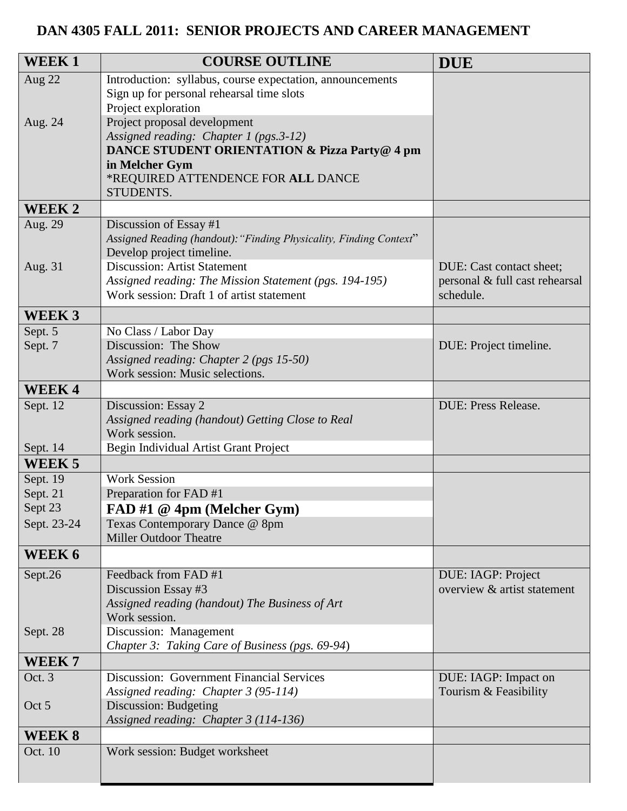# **DAN 4305 FALL 2011: SENIOR PROJECTS AND CAREER MANAGEMENT**

| WEEK1             | <b>COURSE OUTLINE</b>                                                  | <b>DUE</b>                     |
|-------------------|------------------------------------------------------------------------|--------------------------------|
| Aug 22            | Introduction: syllabus, course expectation, announcements              |                                |
|                   | Sign up for personal rehearsal time slots                              |                                |
|                   | Project exploration                                                    |                                |
| Aug. 24           | Project proposal development<br>Assigned reading: Chapter 1 (pgs.3-12) |                                |
|                   | <b>DANCE STUDENT ORIENTATION &amp; Pizza Party@ 4 pm</b>               |                                |
|                   | in Melcher Gym                                                         |                                |
|                   | *REQUIRED ATTENDENCE FOR ALL DANCE                                     |                                |
|                   | STUDENTS.                                                              |                                |
| <b>WEEK2</b>      |                                                                        |                                |
| Aug. 29           | Discussion of Essay #1                                                 |                                |
|                   | Assigned Reading (handout): "Finding Physicality, Finding Context"     |                                |
| Aug. 31           | Develop project timeline.<br><b>Discussion: Artist Statement</b>       | DUE: Cast contact sheet;       |
|                   | Assigned reading: The Mission Statement (pgs. 194-195)                 | personal & full cast rehearsal |
|                   | Work session: Draft 1 of artist statement                              | schedule.                      |
| WEEK <sub>3</sub> |                                                                        |                                |
| Sept. 5           | No Class / Labor Day                                                   |                                |
| Sept. 7           | Discussion: The Show                                                   | DUE: Project timeline.         |
|                   | Assigned reading: Chapter 2 (pgs 15-50)                                |                                |
|                   | Work session: Music selections.                                        |                                |
| <b>WEEK4</b>      |                                                                        |                                |
| Sept. 12          | Discussion: Essay 2                                                    | <b>DUE: Press Release.</b>     |
|                   | Assigned reading (handout) Getting Close to Real<br>Work session.      |                                |
| Sept. 14          | Begin Individual Artist Grant Project                                  |                                |
| WEEK <sub>5</sub> |                                                                        |                                |
| Sept. 19          | <b>Work Session</b>                                                    |                                |
| Sept. 21          | Preparation for FAD #1                                                 |                                |
| Sept 23           | FAD #1 @ 4pm (Melcher Gym)                                             |                                |
| Sept. 23-24       | Texas Contemporary Dance @ 8pm                                         |                                |
|                   | <b>Miller Outdoor Theatre</b>                                          |                                |
| WEEK 6            |                                                                        |                                |
| Sept.26           | Feedback from FAD #1                                                   | DUE: IAGP: Project             |
|                   | Discussion Essay #3                                                    | overview & artist statement    |
|                   | Assigned reading (handout) The Business of Art<br>Work session.        |                                |
| Sept. 28          | Discussion: Management                                                 |                                |
|                   | Chapter 3: Taking Care of Business (pgs. 69-94)                        |                                |
| WEEK <sub>7</sub> |                                                                        |                                |
| Oct. 3            | Discussion: Government Financial Services                              | DUE: IAGP: Impact on           |
|                   | Assigned reading: Chapter 3 (95-114)                                   | Tourism & Feasibility          |
| Oct 5             | <b>Discussion: Budgeting</b>                                           |                                |
|                   | Assigned reading: Chapter 3 (114-136)                                  |                                |
| WEEK 8<br>Oct. 10 | Work session: Budget worksheet                                         |                                |
|                   |                                                                        |                                |
|                   |                                                                        |                                |